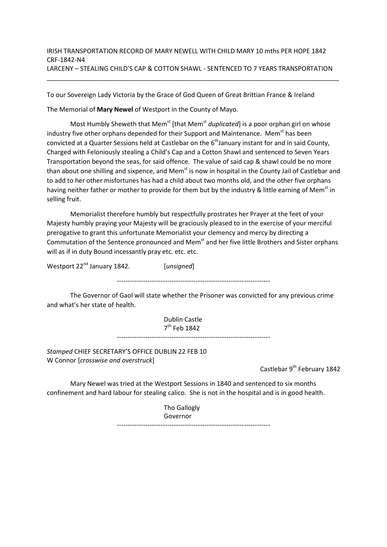## IRISH TRANSPORTATION RECORD OF MARY NEWELL WITH CHILD MARY 10 mths PER HOPE 1842 CRF-1842-N4 LARCENY – STEALING CHILD'S CAP & COTTON SHAWL - SENTENCED TO 7 YEARS TRANSPORTATION

\_\_\_\_\_\_\_\_\_\_\_\_\_\_\_\_\_\_\_\_\_\_\_\_\_\_\_\_\_\_\_\_\_\_\_\_\_\_\_\_\_\_\_\_\_\_\_\_\_\_\_\_\_\_\_\_\_\_\_\_\_\_\_\_\_\_\_\_\_\_\_\_\_\_\_\_\_\_\_\_\_\_

To our Sovereign Lady Victoria by the Grace of God Queen of Great Brittian France & Ireland

The Memorial of Mary Newel of Westport in the County of Mayo.

Most Humbly Sheweth that Mem<sup>st</sup> [that Mem<sup>st</sup> duplicated] is a poor orphan girl on whose industry five other orphans depended for their Support and Maintenance. Mem<sup>st</sup> has been convicted at a Quarter Sessions held at Castlebar on the  $6<sup>th</sup>$  January instant for and in said County, Charged with Feloniously stealing a Child's Cap and a Cotton Shawl and sentenced to Seven Years Transportation beyond the seas, for said offence. The value of said cap & shawl could be no more than about one shilling and sixpence, and Mem<sup>st</sup> is now in hospital in the County Jail of Castlebar and to add to her other misfortunes has had a child about two months old, and the other five orphans having neither father or mother to provide for them but by the industry & little earning of Mem<sup>st</sup> in selling fruit.

 Memorialist therefore humbly but respectfully prostrates her Prayer at the feet of your Majesty humbly praying your Majesty will be graciously pleased to in the exercise of your merciful prerogative to grant this unfortunate Memorialist your clemency and mercy by directing a Commutation of the Sentence pronounced and Mem<sup>st</sup> and her five little Brothers and Sister orphans will as if in duty Bound incessantly pray etc. etc. etc.

Westport 22<sup>nd</sup> January 1842. [unsigned] ----------------------------------------------------------------------

 The Governor of Gaol will state whether the Prisoner was convicted for any previous crime and what's her state of health.

> Dublin Castle 7<sup>th</sup> Feb 1842

----------------------------------------------------------------------

Stamped CHIEF SECRETARY'S OFFICE DUBLIN 22 FEB 10 W Connor [crosswise and overstruck]

Castlebar 9<sup>th</sup> February 1842

 Mary Newel was tried at the Westport Sessions in 1840 and sentenced to six months confinement and hard labour for stealing calico. She is not in the hospital and is in good health.

> Tho Gallogly Governor

----------------------------------------------------------------------